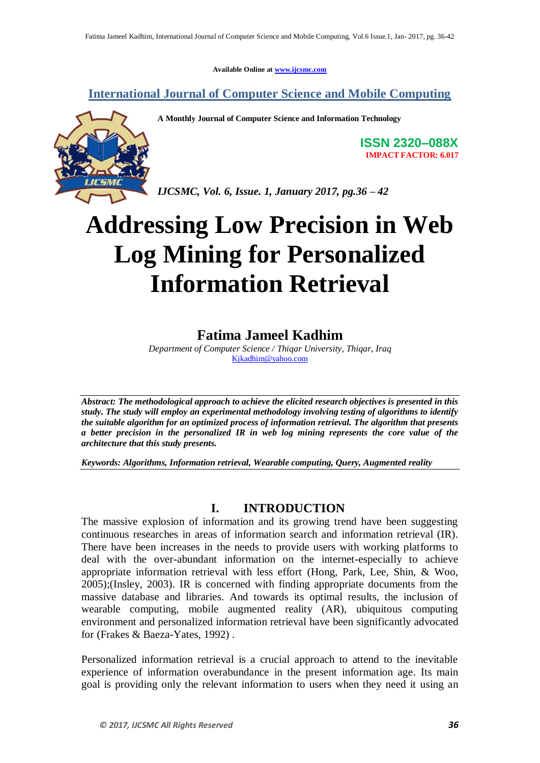**Available Online at www.ijcsmc.com**

**International Journal of Computer Science and Mobile Computing**

**A Monthly Journal of Computer Science and Information Technology**

**ISSN 2320–088X IMPACT FACTOR: 6.017**

*IJCSMC, Vol. 6, Issue. 1, January 2017, pg.36 – 42*

# **Addressing Low Precision in Web Log Mining for Personalized Information Retrieval**

## **Fatima Jameel Kadhim**

*Department of Computer Science / Thiqar University, Thiqar, Iraq* Kjkadhim@yahoo.com

*Abstract: The methodological approach to achieve the elicited research objectives is presented in this study. The study will employ an experimental methodology involving testing of algorithms to identify the suitable algorithm for an optimized process of information retrieval. The algorithm that presents a better precision in the personalized IR in web log mining represents the core value of the architecture that this study presents.*

*Keywords: Algorithms, Information retrieval, Wearable computing, Query, Augmented reality* 

### **I. INTRODUCTION**

The massive explosion of information and its growing trend have been suggesting continuous researches in areas of information search and information retrieval (IR). There have been increases in the needs to provide users with working platforms to deal with the over-abundant information on the internet-especially to achieve appropriate information retrieval with less effort (Hong, Park, Lee, Shin, & Woo, 2005);(Insley, 2003). IR is concerned with finding appropriate documents from the massive database and libraries. And towards its optimal results, the inclusion of wearable computing, mobile augmented reality (AR), ubiquitous computing environment and personalized information retrieval have been significantly advocated for (Frakes & Baeza-Yates, 1992) .

Personalized information retrieval is a crucial approach to attend to the inevitable experience of information overabundance in the present information age. Its main goal is providing only the relevant information to users when they need it using an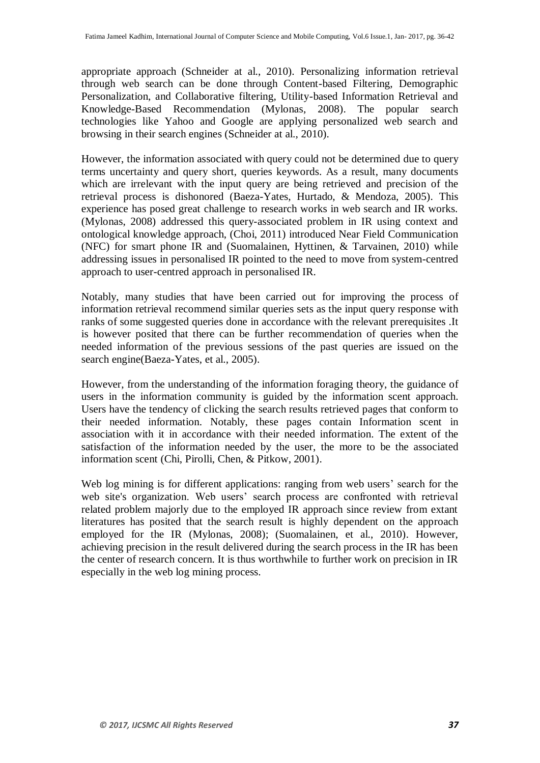appropriate approach (Schneider at al., 2010). Personalizing information retrieval through web search can be done through Content-based Filtering, Demographic Personalization, and Collaborative filtering, Utility-based Information Retrieval and Knowledge-Based Recommendation (Mylonas, 2008). The popular search technologies like Yahoo and Google are applying personalized web search and browsing in their search engines (Schneider at al., 2010).

However, the information associated with query could not be determined due to query terms uncertainty and query short, queries keywords. As a result, many documents which are irrelevant with the input query are being retrieved and precision of the retrieval process is dishonored (Baeza-Yates, Hurtado, & Mendoza, 2005). This experience has posed great challenge to research works in web search and IR works. (Mylonas, 2008) addressed this query-associated problem in IR using context and ontological knowledge approach, (Choi, 2011) introduced Near Field Communication (NFC) for smart phone IR and (Suomalainen, Hyttinen, & Tarvainen, 2010) while addressing issues in personalised IR pointed to the need to move from system-centred approach to user-centred approach in personalised IR.

Notably, many studies that have been carried out for improving the process of information retrieval recommend similar queries sets as the input query response with ranks of some suggested queries done in accordance with the relevant prerequisites .It is however posited that there can be further recommendation of queries when the needed information of the previous sessions of the past queries are issued on the search engine(Baeza-Yates, et al., 2005).

However, from the understanding of the information foraging theory, the guidance of users in the information community is guided by the information scent approach. Users have the tendency of clicking the search results retrieved pages that conform to their needed information. Notably, these pages contain Information scent in association with it in accordance with their needed information. The extent of the satisfaction of the information needed by the user, the more to be the associated information scent (Chi, Pirolli, Chen, & Pitkow, 2001).

Web log mining is for different applications: ranging from web users' search for the web site's organization. Web users' search process are confronted with retrieval related problem majorly due to the employed IR approach since review from extant literatures has posited that the search result is highly dependent on the approach employed for the IR (Mylonas, 2008); (Suomalainen, et al., 2010). However, achieving precision in the result delivered during the search process in the IR has been the center of research concern. It is thus worthwhile to further work on precision in IR especially in the web log mining process.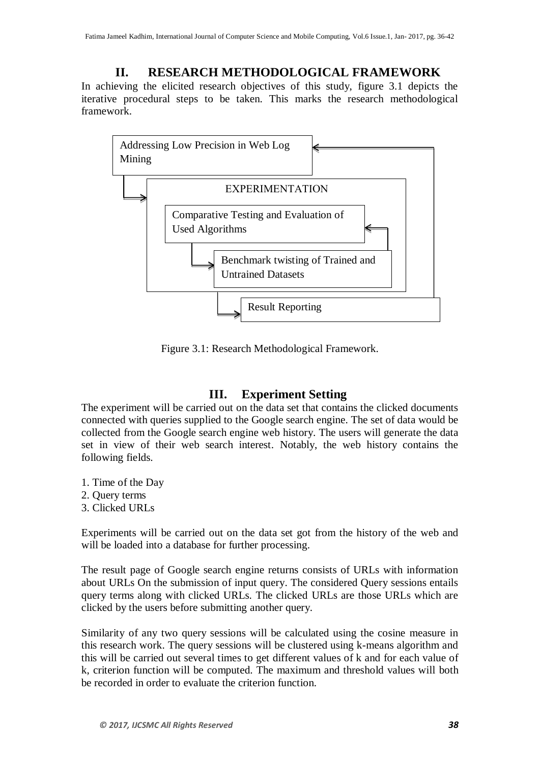## **II. RESEARCH METHODOLOGICAL FRAMEWORK**

In achieving the elicited research objectives of this study, figure 3.1 depicts the iterative procedural steps to be taken. This marks the research methodological framework.



Figure 3.1: Research Methodological Framework.

## **III. Experiment Setting**

The experiment will be carried out on the data set that contains the clicked documents connected with queries supplied to the Google search engine. The set of data would be collected from the Google search engine web history. The users will generate the data set in view of their web search interest. Notably, the web history contains the following fields.

- 1. Time of the Day
- 2. Query terms
- 3. Clicked URLs

Experiments will be carried out on the data set got from the history of the web and will be loaded into a database for further processing.

The result page of Google search engine returns consists of URLs with information about URLs On the submission of input query. The considered Query sessions entails query terms along with clicked URLs. The clicked URLs are those URLs which are clicked by the users before submitting another query.

Similarity of any two query sessions will be calculated using the cosine measure in this research work. The query sessions will be clustered using k-means algorithm and this will be carried out several times to get different values of k and for each value of k, criterion function will be computed. The maximum and threshold values will both be recorded in order to evaluate the criterion function.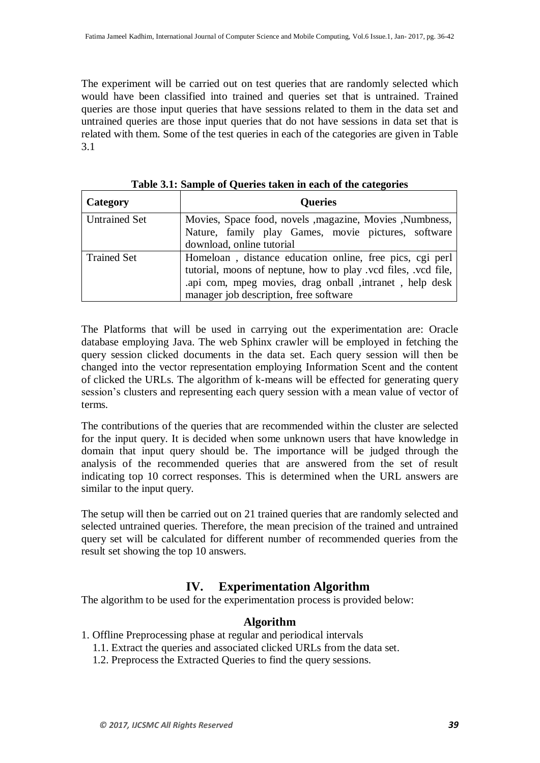The experiment will be carried out on test queries that are randomly selected which would have been classified into trained and queries set that is untrained. Trained queries are those input queries that have sessions related to them in the data set and untrained queries are those input queries that do not have sessions in data set that is related with them. Some of the test queries in each of the categories are given in Table 3.1

| Category             | <b>Queries</b>                                                                                                                                                                                                                  |
|----------------------|---------------------------------------------------------------------------------------------------------------------------------------------------------------------------------------------------------------------------------|
| <b>Untrained Set</b> | Movies, Space food, novels , magazine, Movies , Numbness,<br>Nature, family play Games, movie pictures, software<br>download, online tutorial                                                                                   |
| <b>Trained Set</b>   | Homeloan, distance education online, free pics, cgi perl<br>tutorial, moons of neptune, how to play .vcd files, .vcd file,<br>api com, mpeg movies, drag onball , intranet, help desk<br>manager job description, free software |

**Table 3.1: Sample of Queries taken in each of the categories**

The Platforms that will be used in carrying out the experimentation are: Oracle database employing Java. The web Sphinx crawler will be employed in fetching the query session clicked documents in the data set. Each query session will then be changed into the vector representation employing Information Scent and the content of clicked the URLs. The algorithm of k-means will be effected for generating query session's clusters and representing each query session with a mean value of vector of terms.

The contributions of the queries that are recommended within the cluster are selected for the input query. It is decided when some unknown users that have knowledge in domain that input query should be. The importance will be judged through the analysis of the recommended queries that are answered from the set of result indicating top 10 correct responses. This is determined when the URL answers are similar to the input query.

The setup will then be carried out on 21 trained queries that are randomly selected and selected untrained queries. Therefore, the mean precision of the trained and untrained query set will be calculated for different number of recommended queries from the result set showing the top 10 answers.

## **IV. Experimentation Algorithm**

The algorithm to be used for the experimentation process is provided below:

#### **Algorithm**

- 1. Offline Preprocessing phase at regular and periodical intervals
	- 1.1. Extract the queries and associated clicked URLs from the data set.
	- 1.2. Preprocess the Extracted Queries to find the query sessions.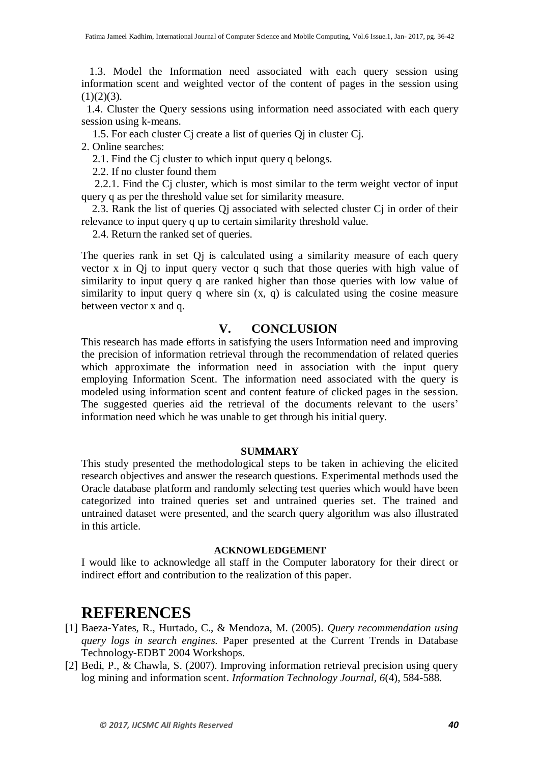1.3. Model the Information need associated with each query session using information scent and weighted vector of the content of pages in the session using  $(1)(2)(3)$ .

 1.4. Cluster the Query sessions using information need associated with each query session using k-means.

1.5. For each cluster Cj create a list of queries Qj in cluster Cj.

2. Online searches:

2.1. Find the Cj cluster to which input query q belongs.

2.2. If no cluster found them

 2.2.1. Find the Cj cluster, which is most similar to the term weight vector of input query q as per the threshold value set for similarity measure.

 2.3. Rank the list of queries Qj associated with selected cluster Cj in order of their relevance to input query q up to certain similarity threshold value.

2.4. Return the ranked set of queries.

The queries rank in set Qj is calculated using a similarity measure of each query vector x in Qj to input query vector q such that those queries with high value of similarity to input query q are ranked higher than those queries with low value of similarity to input query q where sin  $(x, q)$  is calculated using the cosine measure between vector x and q.

## **V. CONCLUSION**

This research has made efforts in satisfying the users Information need and improving the precision of information retrieval through the recommendation of related queries which approximate the information need in association with the input query employing Information Scent. The information need associated with the query is modeled using information scent and content feature of clicked pages in the session. The suggested queries aid the retrieval of the documents relevant to the users' information need which he was unable to get through his initial query.

#### **SUMMARY**

This study presented the methodological steps to be taken in achieving the elicited research objectives and answer the research questions. Experimental methods used the Oracle database platform and randomly selecting test queries which would have been categorized into trained queries set and untrained queries set. The trained and untrained dataset were presented, and the search query algorithm was also illustrated in this article.

#### **ACKNOWLEDGEMENT**

I would like to acknowledge all staff in the Computer laboratory for their direct or indirect effort and contribution to the realization of this paper.

# **REFERENCES**

- [1] Baeza-Yates, R., Hurtado, C., & Mendoza, M. (2005). *Query recommendation using query logs in search engines.* Paper presented at the Current Trends in Database Technology-EDBT 2004 Workshops.
- [2] Bedi, P., & Chawla, S. (2007). Improving information retrieval precision using query log mining and information scent. *Information Technology Journal, 6*(4), 584-588.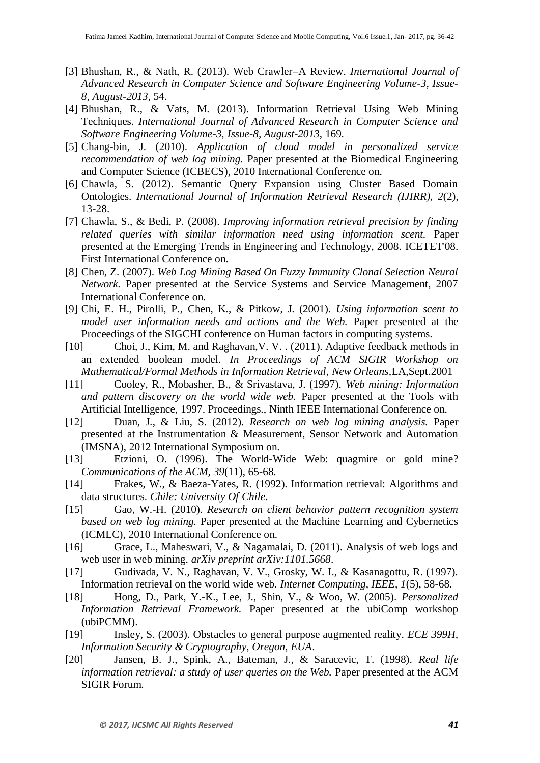- [3] Bhushan, R., & Nath, R. (2013). Web Crawler–A Review. *International Journal of Advanced Research in Computer Science and Software Engineering Volume-3, Issue-8, August-2013*, 54.
- [4] Bhushan, R., & Vats, M. (2013). Information Retrieval Using Web Mining Techniques. *International Journal of Advanced Research in Computer Science and Software Engineering Volume-3, Issue-8, August-2013*, 169.
- [5] Chang-bin, J. (2010). *Application of cloud model in personalized service recommendation of web log mining.* Paper presented at the Biomedical Engineering and Computer Science (ICBECS), 2010 International Conference on.
- [6] Chawla, S. (2012). Semantic Query Expansion using Cluster Based Domain Ontologies. *International Journal of Information Retrieval Research (IJIRR), 2*(2), 13-28.
- [7] Chawla, S., & Bedi, P. (2008). *Improving information retrieval precision by finding related queries with similar information need using information scent.* Paper presented at the Emerging Trends in Engineering and Technology, 2008. ICETET'08. First International Conference on.
- [8] Chen, Z. (2007). *Web Log Mining Based On Fuzzy Immunity Clonal Selection Neural Network.* Paper presented at the Service Systems and Service Management, 2007 International Conference on.
- [9] Chi, E. H., Pirolli, P., Chen, K., & Pitkow, J. (2001). *Using information scent to model user information needs and actions and the Web.* Paper presented at the Proceedings of the SIGCHI conference on Human factors in computing systems.
- [10] Choi, J., Kim, M. and Raghavan,V. V. . (2011). Adaptive feedback methods in an extended boolean model. *In Proceedings of ACM SIGIR Workshop on Mathematical/Formal Methods in Information Retrieval, New Orleans*,LA,Sept.2001
- [11] Cooley, R., Mobasher, B., & Srivastava, J. (1997). *Web mining: Information and pattern discovery on the world wide web.* Paper presented at the Tools with Artificial Intelligence, 1997. Proceedings., Ninth IEEE International Conference on.
- [12] Duan, J., & Liu, S. (2012). *Research on web log mining analysis.* Paper presented at the Instrumentation & Measurement, Sensor Network and Automation (IMSNA), 2012 International Symposium on.
- [13] Etzioni, O. (1996). The World-Wide Web: quagmire or gold mine? *Communications of the ACM, 39*(11), 65-68.
- [14] Frakes, W., & Baeza-Yates, R. (1992). Information retrieval: Algorithms and data structures. *Chile: University Of Chile*.
- [15] Gao, W.-H. (2010). *Research on client behavior pattern recognition system based on web log mining.* Paper presented at the Machine Learning and Cybernetics (ICMLC), 2010 International Conference on.
- [16] Grace, L., Maheswari, V., & Nagamalai, D. (2011). Analysis of web logs and web user in web mining. *arXiv preprint arXiv:1101.5668*.
- [17] Gudivada, V. N., Raghavan, V. V., Grosky, W. I., & Kasanagottu, R. (1997). Information retrieval on the world wide web. *Internet Computing, IEEE, 1*(5), 58-68.
- [18] Hong, D., Park, Y.-K., Lee, J., Shin, V., & Woo, W. (2005). *Personalized Information Retrieval Framework.* Paper presented at the ubiComp workshop (ubiPCMM).
- [19] Insley, S. (2003). Obstacles to general purpose augmented reality. *ECE 399H, Information Security & Cryptography, Oregon, EUA*.
- [20] Jansen, B. J., Spink, A., Bateman, J., & Saracevic, T. (1998). *Real life information retrieval: a study of user queries on the Web.* Paper presented at the ACM SIGIR Forum.